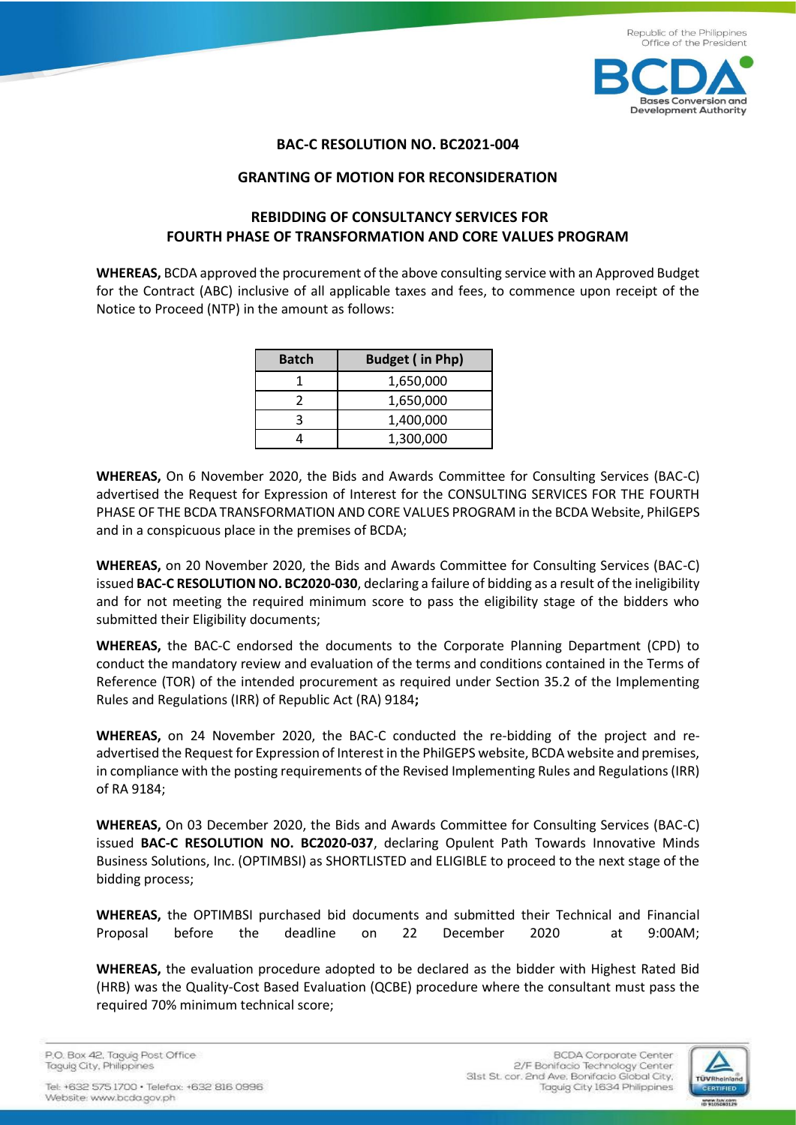

## **BAC-C RESOLUTION NO. BC2021-004**

## **GRANTING OF MOTION FOR RECONSIDERATION**

## **REBIDDING OF CONSULTANCY SERVICES FOR FOURTH PHASE OF TRANSFORMATION AND CORE VALUES PROGRAM**

**WHEREAS,** BCDA approved the procurement of the above consulting service with an Approved Budget for the Contract (ABC) inclusive of all applicable taxes and fees, to commence upon receipt of the Notice to Proceed (NTP) in the amount as follows:

| <b>Batch</b> | <b>Budget (in Php)</b> |
|--------------|------------------------|
|              | 1,650,000              |
|              | 1,650,000              |
|              | 1,400,000              |
|              | 1,300,000              |

**WHEREAS,** On 6 November 2020, the Bids and Awards Committee for Consulting Services (BAC-C) advertised the Request for Expression of Interest for the CONSULTING SERVICES FOR THE FOURTH PHASE OF THE BCDA TRANSFORMATION AND CORE VALUES PROGRAM in the BCDA Website, PhilGEPS and in a conspicuous place in the premises of BCDA;

**WHEREAS,** on 20 November 2020, the Bids and Awards Committee for Consulting Services (BAC-C) issued **BAC-C RESOLUTION NO. BC2020-030**, declaring a failure of bidding as a result of the ineligibility and for not meeting the required minimum score to pass the eligibility stage of the bidders who submitted their Eligibility documents;

**WHEREAS,** the BAC-C endorsed the documents to the Corporate Planning Department (CPD) to conduct the mandatory review and evaluation of the terms and conditions contained in the Terms of Reference (TOR) of the intended procurement as required under Section 35.2 of the Implementing Rules and Regulations (IRR) of Republic Act (RA) 9184**;**

**WHEREAS,** on 24 November 2020, the BAC-C conducted the re-bidding of the project and readvertised the Request for Expression of Interest in the PhilGEPS website, BCDA website and premises, in compliance with the posting requirements of the Revised Implementing Rules and Regulations (IRR) of RA 9184;

**WHEREAS,** On 03 December 2020, the Bids and Awards Committee for Consulting Services (BAC-C) issued **BAC-C RESOLUTION NO. BC2020-037**, declaring Opulent Path Towards Innovative Minds Business Solutions, Inc. (OPTIMBSI) as SHORTLISTED and ELIGIBLE to proceed to the next stage of the bidding process;

**WHEREAS,** the OPTIMBSI purchased bid documents and submitted their Technical and Financial Proposal before the deadline on 22 December 2020 at 9:00AM;

**WHEREAS,** the evaluation procedure adopted to be declared as the bidder with Highest Rated Bid (HRB) was the Quality-Cost Based Evaluation (QCBE) procedure where the consultant must pass the required 70% minimum technical score;

P.O. Box 42. Taguig Post Office Taguig City, Philippines

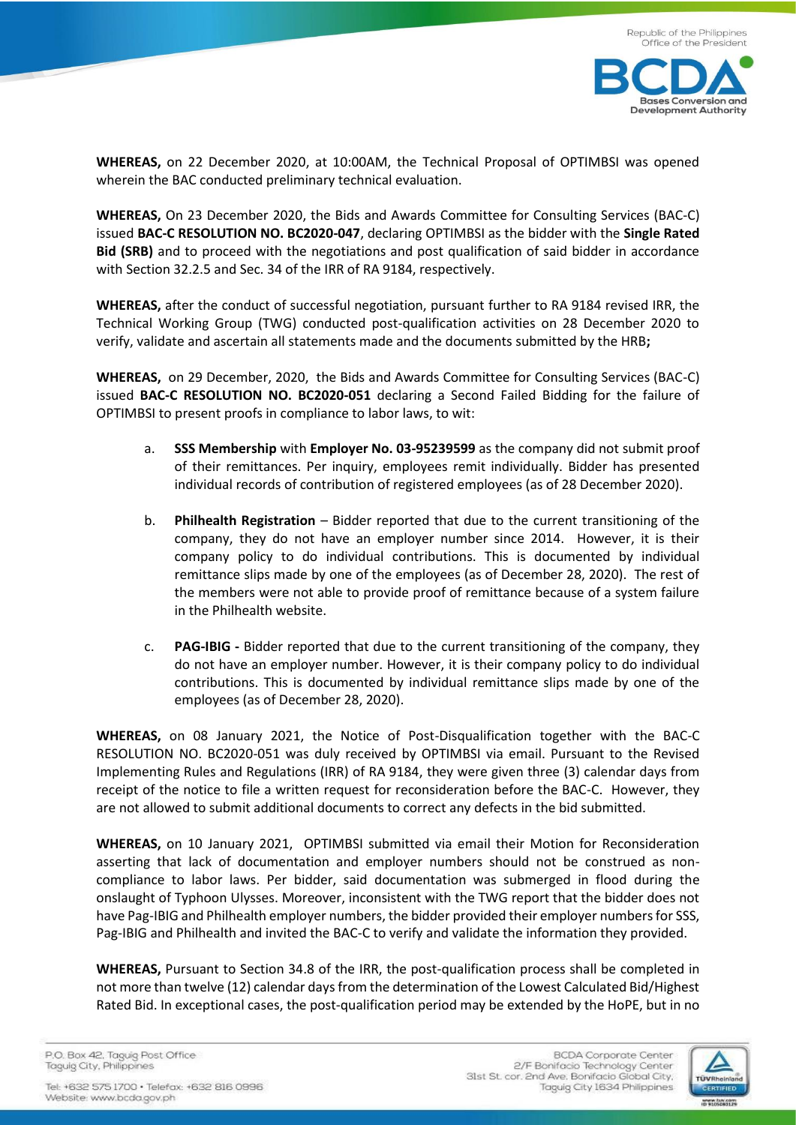



**WHEREAS,** on 22 December 2020, at 10:00AM, the Technical Proposal of OPTIMBSI was opened wherein the BAC conducted preliminary technical evaluation.

**WHEREAS,** On 23 December 2020, the Bids and Awards Committee for Consulting Services (BAC-C) issued **BAC-C RESOLUTION NO. BC2020-047**, declaring OPTIMBSI as the bidder with the **Single Rated Bid (SRB)** and to proceed with the negotiations and post qualification of said bidder in accordance with Section 32.2.5 and Sec. 34 of the IRR of RA 9184, respectively.

**WHEREAS,** after the conduct of successful negotiation, pursuant further to RA 9184 revised IRR, the Technical Working Group (TWG) conducted post-qualification activities on 28 December 2020 to verify, validate and ascertain all statements made and the documents submitted by the HRB**;** 

**WHEREAS,** on 29 December, 2020, the Bids and Awards Committee for Consulting Services (BAC-C) issued **BAC-C RESOLUTION NO. BC2020-051** declaring a Second Failed Bidding for the failure of OPTIMBSI to present proofs in compliance to labor laws, to wit:

- a. **SSS Membership** with **Employer No. 03-95239599** as the company did not submit proof of their remittances. Per inquiry, employees remit individually. Bidder has presented individual records of contribution of registered employees (as of 28 December 2020).
- b. **Philhealth Registration** Bidder reported that due to the current transitioning of the company, they do not have an employer number since 2014. However, it is their company policy to do individual contributions. This is documented by individual remittance slips made by one of the employees (as of December 28, 2020). The rest of the members were not able to provide proof of remittance because of a system failure in the Philhealth website.
- c. **PAG-IBIG -** Bidder reported that due to the current transitioning of the company, they do not have an employer number. However, it is their company policy to do individual contributions. This is documented by individual remittance slips made by one of the employees (as of December 28, 2020).

**WHEREAS,** on 08 January 2021, the Notice of Post-Disqualification together with the BAC-C RESOLUTION NO. BC2020-051 was duly received by OPTIMBSI via email. Pursuant to the Revised Implementing Rules and Regulations (IRR) of RA 9184, they were given three (3) calendar days from receipt of the notice to file a written request for reconsideration before the BAC-C. However, they are not allowed to submit additional documents to correct any defects in the bid submitted.

**WHEREAS,** on 10 January 2021, OPTIMBSI submitted via email their Motion for Reconsideration asserting that lack of documentation and employer numbers should not be construed as noncompliance to labor laws. Per bidder, said documentation was submerged in flood during the onslaught of Typhoon Ulysses. Moreover, inconsistent with the TWG report that the bidder does not have Pag-IBIG and Philhealth employer numbers, the bidder provided their employer numbers for SSS, Pag-IBIG and Philhealth and invited the BAC-C to verify and validate the information they provided.

**WHEREAS,** Pursuant to Section 34.8 of the IRR, the post-qualification process shall be completed in not more than twelve (12) calendar days from the determination of the Lowest Calculated Bid/Highest Rated Bid. In exceptional cases, the post-qualification period may be extended by the HoPE, but in no

P.O. Box 42. Taguig Post Office Taguig City, Philippines